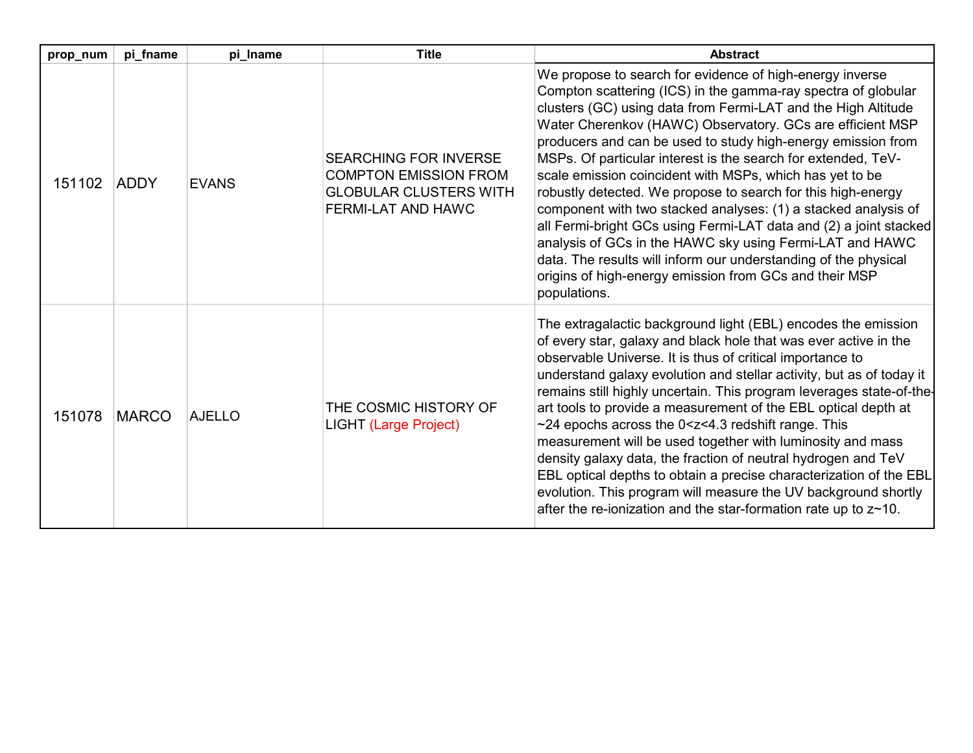| prop_num | pi_fname     | pi_Iname      | <b>Title</b>                                                                                                        | <b>Abstract</b>                                                                                                                                                                                                                                                                                                                                                                                                                                                                                                                                                                                                                                                                                                                                                                                                                                                      |
|----------|--------------|---------------|---------------------------------------------------------------------------------------------------------------------|----------------------------------------------------------------------------------------------------------------------------------------------------------------------------------------------------------------------------------------------------------------------------------------------------------------------------------------------------------------------------------------------------------------------------------------------------------------------------------------------------------------------------------------------------------------------------------------------------------------------------------------------------------------------------------------------------------------------------------------------------------------------------------------------------------------------------------------------------------------------|
| 151102   | <b>ADDY</b>  | <b>EVANS</b>  | <b>SEARCHING FOR INVERSE</b><br><b>COMPTON EMISSION FROM</b><br><b>GLOBULAR CLUSTERS WITH</b><br>FERMI-LAT AND HAWC | We propose to search for evidence of high-energy inverse<br>Compton scattering (ICS) in the gamma-ray spectra of globular<br>clusters (GC) using data from Fermi-LAT and the High Altitude<br>Water Cherenkov (HAWC) Observatory. GCs are efficient MSP<br>producers and can be used to study high-energy emission from<br>MSPs. Of particular interest is the search for extended, TeV-<br>scale emission coincident with MSPs, which has yet to be<br>robustly detected. We propose to search for this high-energy<br>component with two stacked analyses: (1) a stacked analysis of<br>all Fermi-bright GCs using Fermi-LAT data and (2) a joint stacked<br>analysis of GCs in the HAWC sky using Fermi-LAT and HAWC<br>data. The results will inform our understanding of the physical<br>origins of high-energy emission from GCs and their MSP<br>populations. |
| 151078   | <b>MARCO</b> | <b>AJELLO</b> | THE COSMIC HISTORY OF<br><b>LIGHT (Large Project)</b>                                                               | The extragalactic background light (EBL) encodes the emission<br>of every star, galaxy and black hole that was ever active in the<br>observable Universe. It is thus of critical importance to<br>understand galaxy evolution and stellar activity, but as of today it<br>remains still highly uncertain. This program leverages state-of-the-<br>art tools to provide a measurement of the EBL optical depth at<br>~24 epochs across the 0 <z<4.3 range.="" redshift="" this<br="">measurement will be used together with luminosity and mass<br/>density galaxy data, the fraction of neutral hydrogen and TeV<br/>EBL optical depths to obtain a precise characterization of the EBL<br/>evolution. This program will measure the UV background shortly<br/>after the re-ionization and the star-formation rate up to <math>z \sim 10</math>.</z<4.3>             |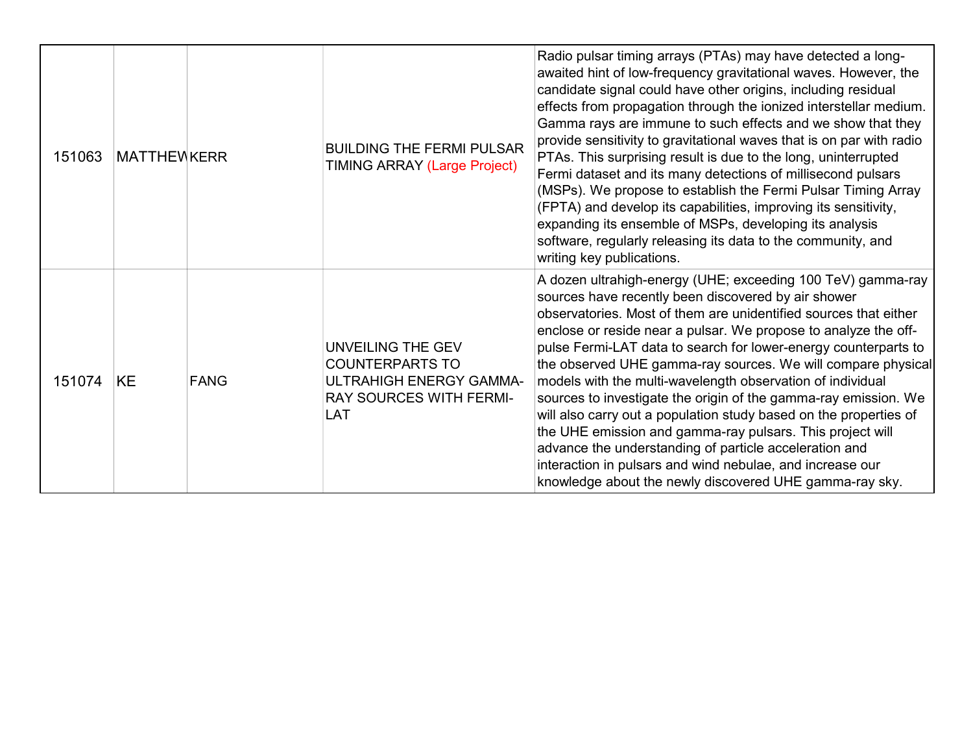| 151063 | <b>MATTHEWKERR</b> | <b>BUILDING THE FERMI PULSAR</b><br><b>TIMING ARRAY (Large Project)</b>                                                | Radio pulsar timing arrays (PTAs) may have detected a long-<br>awaited hint of low-frequency gravitational waves. However, the<br>candidate signal could have other origins, including residual<br>effects from propagation through the ionized interstellar medium.<br>Gamma rays are immune to such effects and we show that they<br>provide sensitivity to gravitational waves that is on par with radio<br>PTAs. This surprising result is due to the long, uninterrupted<br>Fermi dataset and its many detections of millisecond pulsars<br>(MSPs). We propose to establish the Fermi Pulsar Timing Array<br>(FPTA) and develop its capabilities, improving its sensitivity,<br>expanding its ensemble of MSPs, developing its analysis<br>software, regularly releasing its data to the community, and<br>writing key publications.         |
|--------|--------------------|------------------------------------------------------------------------------------------------------------------------|---------------------------------------------------------------------------------------------------------------------------------------------------------------------------------------------------------------------------------------------------------------------------------------------------------------------------------------------------------------------------------------------------------------------------------------------------------------------------------------------------------------------------------------------------------------------------------------------------------------------------------------------------------------------------------------------------------------------------------------------------------------------------------------------------------------------------------------------------|
| 151074 | KE<br><b>FANG</b>  | UNVEILING THE GEV<br><b>COUNTERPARTS TO</b><br>ULTRAHIGH ENERGY GAMMA-<br><b>RAY SOURCES WITH FERMI-</b><br><b>LAT</b> | A dozen ultrahigh-energy (UHE; exceeding 100 TeV) gamma-ray<br>sources have recently been discovered by air shower<br>observatories. Most of them are unidentified sources that either<br>enclose or reside near a pulsar. We propose to analyze the off-<br>pulse Fermi-LAT data to search for lower-energy counterparts to<br>the observed UHE gamma-ray sources. We will compare physical<br>models with the multi-wavelength observation of individual<br>sources to investigate the origin of the gamma-ray emission. We<br>will also carry out a population study based on the properties of<br>the UHE emission and gamma-ray pulsars. This project will<br>advance the understanding of particle acceleration and<br>interaction in pulsars and wind nebulae, and increase our<br>knowledge about the newly discovered UHE gamma-ray sky. |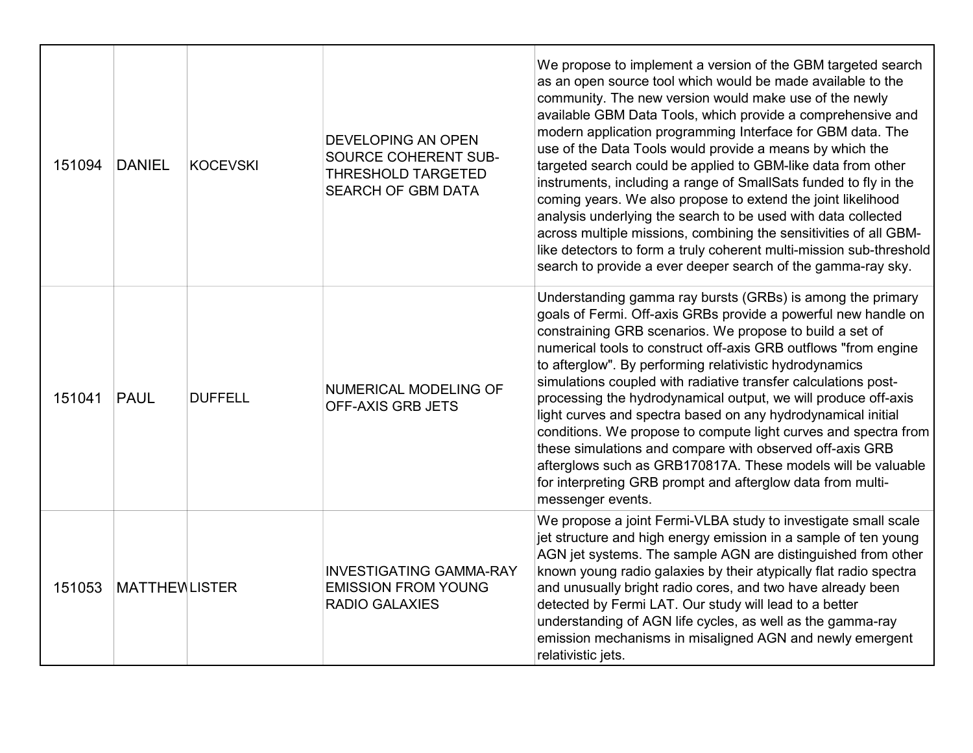| 151094 | <b>DANIEL</b>        | <b>KOCEVSKI</b> | DEVELOPING AN OPEN<br>SOURCE COHERENT SUB-<br><b>THRESHOLD TARGETED</b><br>SEARCH OF GBM DATA | We propose to implement a version of the GBM targeted search<br>as an open source tool which would be made available to the<br>community. The new version would make use of the newly<br>available GBM Data Tools, which provide a comprehensive and<br>modern application programming Interface for GBM data. The<br>use of the Data Tools would provide a means by which the<br>targeted search could be applied to GBM-like data from other<br>instruments, including a range of SmallSats funded to fly in the<br>coming years. We also propose to extend the joint likelihood<br>analysis underlying the search to be used with data collected<br>across multiple missions, combining the sensitivities of all GBM-<br>like detectors to form a truly coherent multi-mission sub-threshold<br>search to provide a ever deeper search of the gamma-ray sky. |
|--------|----------------------|-----------------|-----------------------------------------------------------------------------------------------|-----------------------------------------------------------------------------------------------------------------------------------------------------------------------------------------------------------------------------------------------------------------------------------------------------------------------------------------------------------------------------------------------------------------------------------------------------------------------------------------------------------------------------------------------------------------------------------------------------------------------------------------------------------------------------------------------------------------------------------------------------------------------------------------------------------------------------------------------------------------|
| 151041 | <b>PAUL</b>          | <b>DUFFELL</b>  | NUMERICAL MODELING OF<br>OFF-AXIS GRB JETS                                                    | Understanding gamma ray bursts (GRBs) is among the primary<br>goals of Fermi. Off-axis GRBs provide a powerful new handle on<br>constraining GRB scenarios. We propose to build a set of<br>numerical tools to construct off-axis GRB outflows "from engine<br>to afterglow". By performing relativistic hydrodynamics<br>simulations coupled with radiative transfer calculations post-<br>processing the hydrodynamical output, we will produce off-axis<br>light curves and spectra based on any hydrodynamical initial<br>conditions. We propose to compute light curves and spectra from<br>these simulations and compare with observed off-axis GRB<br>afterglows such as GRB170817A. These models will be valuable<br>for interpreting GRB prompt and afterglow data from multi-<br>messenger events.                                                    |
| 151053 | <b>MATTHEWLISTER</b> |                 | <b>INVESTIGATING GAMMA-RAY</b><br><b>EMISSION FROM YOUNG</b><br><b>RADIO GALAXIES</b>         | We propose a joint Fermi-VLBA study to investigate small scale<br>jet structure and high energy emission in a sample of ten young<br>AGN jet systems. The sample AGN are distinguished from other<br>known young radio galaxies by their atypically flat radio spectra<br>and unusually bright radio cores, and two have already been<br>detected by Fermi LAT. Our study will lead to a better<br>understanding of AGN life cycles, as well as the gamma-ray<br>emission mechanisms in misaligned AGN and newly emergent<br>relativistic jets.                                                                                                                                                                                                                                                                                                                 |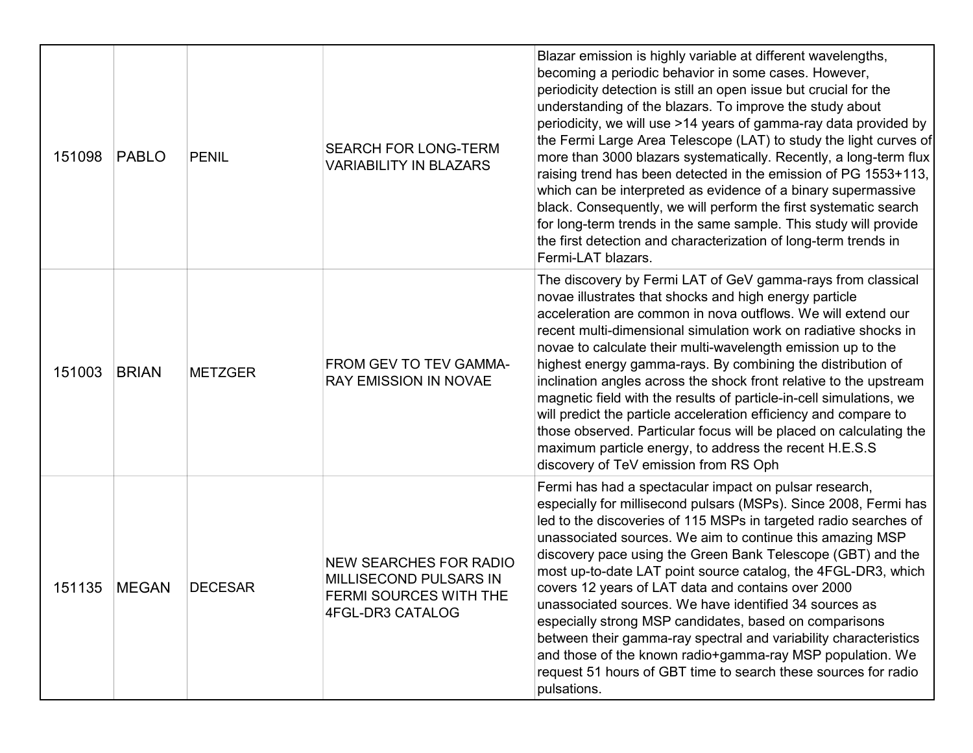| 151098 | PABLO        | <b>PENIL</b>   | <b>SEARCH FOR LONG-TERM</b><br><b>VARIABILITY IN BLAZARS</b>                                          | Blazar emission is highly variable at different wavelengths,<br>becoming a periodic behavior in some cases. However,<br>periodicity detection is still an open issue but crucial for the<br>understanding of the blazars. To improve the study about<br>periodicity, we will use >14 years of gamma-ray data provided by<br>the Fermi Large Area Telescope (LAT) to study the light curves of<br>more than 3000 blazars systematically. Recently, a long-term flux<br>raising trend has been detected in the emission of PG 1553+113,<br>which can be interpreted as evidence of a binary supermassive<br>black. Consequently, we will perform the first systematic search<br>for long-term trends in the same sample. This study will provide<br>the first detection and characterization of long-term trends in<br>Fermi-LAT blazars. |
|--------|--------------|----------------|-------------------------------------------------------------------------------------------------------|-----------------------------------------------------------------------------------------------------------------------------------------------------------------------------------------------------------------------------------------------------------------------------------------------------------------------------------------------------------------------------------------------------------------------------------------------------------------------------------------------------------------------------------------------------------------------------------------------------------------------------------------------------------------------------------------------------------------------------------------------------------------------------------------------------------------------------------------|
| 151003 | <b>BRIAN</b> | <b>METZGER</b> | FROM GEV TO TEV GAMMA-<br><b>RAY EMISSION IN NOVAE</b>                                                | The discovery by Fermi LAT of GeV gamma-rays from classical<br>novae illustrates that shocks and high energy particle<br>acceleration are common in nova outflows. We will extend our<br>recent multi-dimensional simulation work on radiative shocks in<br>novae to calculate their multi-wavelength emission up to the<br>highest energy gamma-rays. By combining the distribution of<br>inclination angles across the shock front relative to the upstream<br>magnetic field with the results of particle-in-cell simulations, we<br>will predict the particle acceleration efficiency and compare to<br>those observed. Particular focus will be placed on calculating the<br>maximum particle energy, to address the recent H.E.S.S<br>discovery of TeV emission from RS Oph                                                       |
| 151135 | <b>MEGAN</b> | <b>DECESAR</b> | <b>NEW SEARCHES FOR RADIO</b><br>MILLISECOND PULSARS IN<br>FERMI SOURCES WITH THE<br>4FGL-DR3 CATALOG | Fermi has had a spectacular impact on pulsar research,<br>especially for millisecond pulsars (MSPs). Since 2008, Fermi has<br>led to the discoveries of 115 MSPs in targeted radio searches of<br>unassociated sources. We aim to continue this amazing MSP<br>discovery pace using the Green Bank Telescope (GBT) and the<br>most up-to-date LAT point source catalog, the 4FGL-DR3, which<br>covers 12 years of LAT data and contains over 2000<br>unassociated sources. We have identified 34 sources as<br>especially strong MSP candidates, based on comparisons<br>between their gamma-ray spectral and variability characteristics<br>and those of the known radio+gamma-ray MSP population. We<br>request 51 hours of GBT time to search these sources for radio<br>pulsations.                                                 |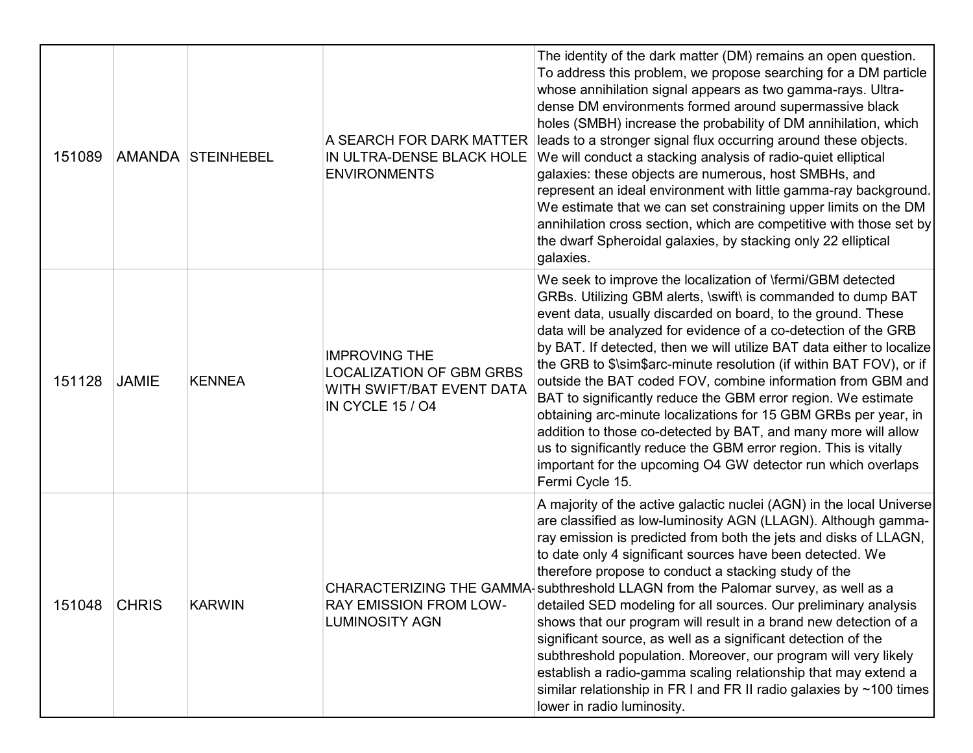| 151089 |              | AMANDA STEINHEBEL | A SEARCH FOR DARK MATTER<br>IN ULTRA-DENSE BLACK HOLE<br><b>ENVIRONMENTS</b>                                    | The identity of the dark matter (DM) remains an open question.<br>To address this problem, we propose searching for a DM particle<br>whose annihilation signal appears as two gamma-rays. Ultra-<br>dense DM environments formed around supermassive black<br>holes (SMBH) increase the probability of DM annihilation, which<br>leads to a stronger signal flux occurring around these objects.<br>We will conduct a stacking analysis of radio-quiet elliptical<br>galaxies: these objects are numerous, host SMBHs, and<br>represent an ideal environment with little gamma-ray background.<br>We estimate that we can set constraining upper limits on the DM<br>annihilation cross section, which are competitive with those set by<br>the dwarf Spheroidal galaxies, by stacking only 22 elliptical<br>galaxies.                                                |
|--------|--------------|-------------------|-----------------------------------------------------------------------------------------------------------------|-----------------------------------------------------------------------------------------------------------------------------------------------------------------------------------------------------------------------------------------------------------------------------------------------------------------------------------------------------------------------------------------------------------------------------------------------------------------------------------------------------------------------------------------------------------------------------------------------------------------------------------------------------------------------------------------------------------------------------------------------------------------------------------------------------------------------------------------------------------------------|
| 151128 | <b>JAMIE</b> | <b>KENNEA</b>     | <b>IMPROVING THE</b><br><b>LOCALIZATION OF GBM GRBS</b><br>WITH SWIFT/BAT EVENT DATA<br><b>IN CYCLE 15 / O4</b> | We seek to improve the localization of \fermi/GBM detected<br>GRBs. Utilizing GBM alerts, \swift\ is commanded to dump BAT<br>event data, usually discarded on board, to the ground. These<br>data will be analyzed for evidence of a co-detection of the GRB<br>by BAT. If detected, then we will utilize BAT data either to localize<br>the GRB to \$\sim\$arc-minute resolution (if within BAT FOV), or if<br>outside the BAT coded FOV, combine information from GBM and<br>BAT to significantly reduce the GBM error region. We estimate<br>obtaining arc-minute localizations for 15 GBM GRBs per year, in<br>addition to those co-detected by BAT, and many more will allow<br>us to significantly reduce the GBM error region. This is vitally<br>important for the upcoming O4 GW detector run which overlaps<br>Fermi Cycle 15.                             |
| 151048 | <b>CHRIS</b> | <b>KARWIN</b>     | <b>RAY EMISSION FROM LOW-</b><br><b>LUMINOSITY AGN</b>                                                          | A majority of the active galactic nuclei (AGN) in the local Universe<br>are classified as low-luminosity AGN (LLAGN). Although gamma-<br>ray emission is predicted from both the jets and disks of LLAGN,<br>to date only 4 significant sources have been detected. We<br>therefore propose to conduct a stacking study of the<br>CHARACTERIZING THE GAMMA-subthreshold LLAGN from the Palomar survey, as well as a<br>detailed SED modeling for all sources. Our preliminary analysis<br>shows that our program will result in a brand new detection of a<br>significant source, as well as a significant detection of the<br>subthreshold population. Moreover, our program will very likely<br>establish a radio-gamma scaling relationship that may extend a<br>similar relationship in FR I and FR II radio galaxies by ~100 times<br>lower in radio luminosity. |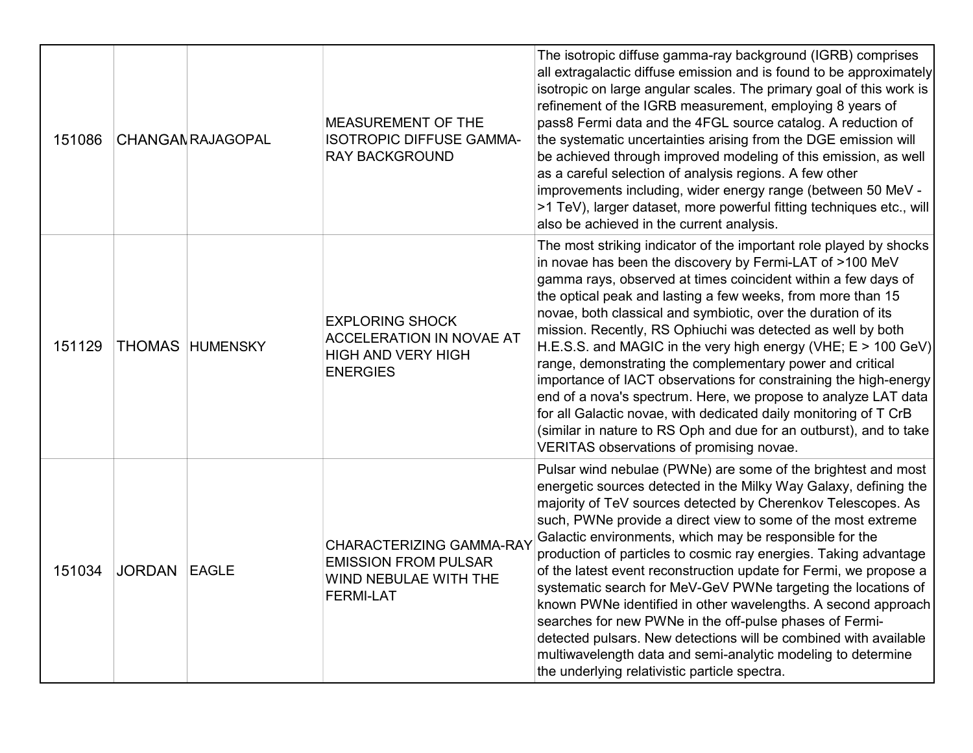| 151086 |                     | <b>CHANGAN RAJAGOPAL</b> | <b>MEASUREMENT OF THE</b><br><b>ISOTROPIC DIFFUSE GAMMA-</b><br><b>RAY BACKGROUND</b>                     | The isotropic diffuse gamma-ray background (IGRB) comprises<br>all extragalactic diffuse emission and is found to be approximately<br>isotropic on large angular scales. The primary goal of this work is<br>refinement of the IGRB measurement, employing 8 years of<br>pass8 Fermi data and the 4FGL source catalog. A reduction of<br>the systematic uncertainties arising from the DGE emission will<br>be achieved through improved modeling of this emission, as well<br>as a careful selection of analysis regions. A few other<br>improvements including, wider energy range (between 50 MeV -<br>>1 TeV), larger dataset, more powerful fitting techniques etc., will<br>also be achieved in the current analysis.                                                                                                                                |
|--------|---------------------|--------------------------|-----------------------------------------------------------------------------------------------------------|------------------------------------------------------------------------------------------------------------------------------------------------------------------------------------------------------------------------------------------------------------------------------------------------------------------------------------------------------------------------------------------------------------------------------------------------------------------------------------------------------------------------------------------------------------------------------------------------------------------------------------------------------------------------------------------------------------------------------------------------------------------------------------------------------------------------------------------------------------|
| 151129 |                     | <b>THOMAS HUMENSKY</b>   | <b>EXPLORING SHOCK</b><br><b>ACCELERATION IN NOVAE AT</b><br><b>HIGH AND VERY HIGH</b><br><b>ENERGIES</b> | The most striking indicator of the important role played by shocks<br>in novae has been the discovery by Fermi-LAT of >100 MeV<br>gamma rays, observed at times coincident within a few days of<br>the optical peak and lasting a few weeks, from more than 15<br>novae, both classical and symbiotic, over the duration of its<br>mission. Recently, RS Ophiuchi was detected as well by both<br>H.E.S.S. and MAGIC in the very high energy (VHE; $E > 100$ GeV)<br>range, demonstrating the complementary power and critical<br>importance of IACT observations for constraining the high-energy<br>end of a nova's spectrum. Here, we propose to analyze LAT data<br>for all Galactic novae, with dedicated daily monitoring of T CrB<br>(similar in nature to RS Oph and due for an outburst), and to take<br>VERITAS observations of promising novae. |
| 151034 | <b>JORDAN EAGLE</b> |                          | CHARACTERIZING GAMMA-RAY<br><b>EMISSION FROM PULSAR</b><br>WIND NEBULAE WITH THE<br><b>FERMI-LAT</b>      | Pulsar wind nebulae (PWNe) are some of the brightest and most<br>energetic sources detected in the Milky Way Galaxy, defining the<br>majority of TeV sources detected by Cherenkov Telescopes. As<br>such, PWNe provide a direct view to some of the most extreme<br>Galactic environments, which may be responsible for the<br>production of particles to cosmic ray energies. Taking advantage<br>of the latest event reconstruction update for Fermi, we propose a<br>systematic search for MeV-GeV PWNe targeting the locations of<br>known PWNe identified in other wavelengths. A second approach<br>searches for new PWNe in the off-pulse phases of Fermi-<br>detected pulsars. New detections will be combined with available<br>multiwavelength data and semi-analytic modeling to determine<br>the underlying relativistic particle spectra.    |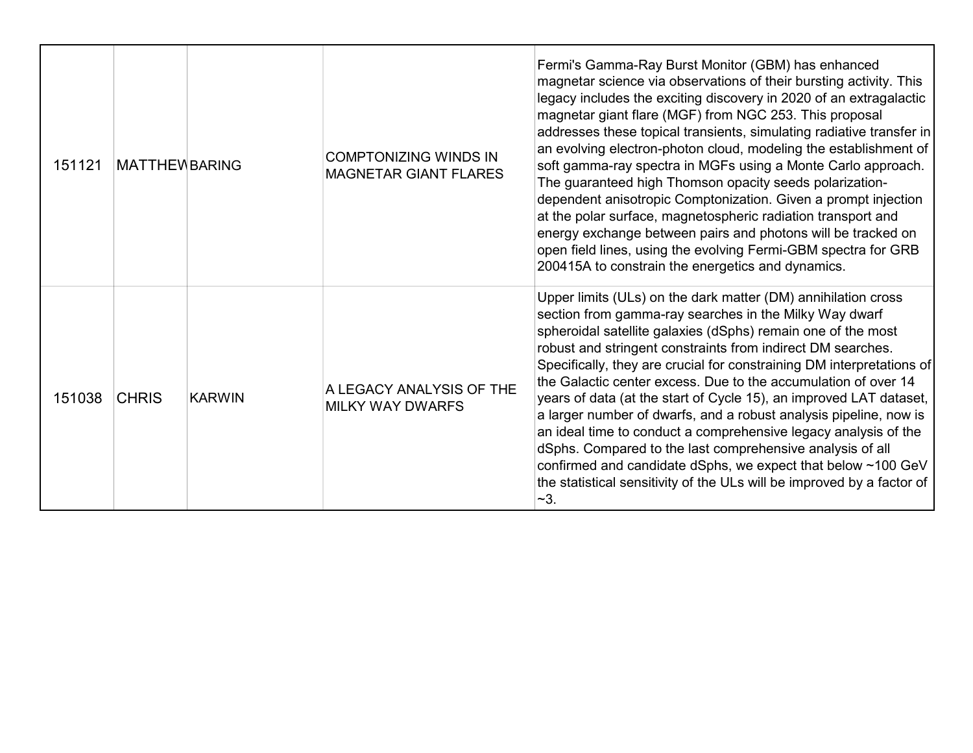| 151121 | <b>MATTHEWBARING</b> |               | <b>COMPTONIZING WINDS IN</b><br><b>MAGNETAR GIANT FLARES</b> | Fermi's Gamma-Ray Burst Monitor (GBM) has enhanced<br>magnetar science via observations of their bursting activity. This<br>legacy includes the exciting discovery in 2020 of an extragalactic<br>magnetar giant flare (MGF) from NGC 253. This proposal<br>addresses these topical transients, simulating radiative transfer in<br>an evolving electron-photon cloud, modeling the establishment of<br>soft gamma-ray spectra in MGFs using a Monte Carlo approach.<br>The guaranteed high Thomson opacity seeds polarization-<br>dependent anisotropic Comptonization. Given a prompt injection<br>at the polar surface, magnetospheric radiation transport and<br>energy exchange between pairs and photons will be tracked on<br>open field lines, using the evolving Fermi-GBM spectra for GRB<br>200415A to constrain the energetics and dynamics. |
|--------|----------------------|---------------|--------------------------------------------------------------|----------------------------------------------------------------------------------------------------------------------------------------------------------------------------------------------------------------------------------------------------------------------------------------------------------------------------------------------------------------------------------------------------------------------------------------------------------------------------------------------------------------------------------------------------------------------------------------------------------------------------------------------------------------------------------------------------------------------------------------------------------------------------------------------------------------------------------------------------------|
| 151038 | <b>CHRIS</b>         | <b>KARWIN</b> | A LEGACY ANALYSIS OF THE<br><b>MILKY WAY DWARFS</b>          | Upper limits (ULs) on the dark matter (DM) annihilation cross<br>section from gamma-ray searches in the Milky Way dwarf<br>spheroidal satellite galaxies (dSphs) remain one of the most<br>robust and stringent constraints from indirect DM searches.<br>Specifically, they are crucial for constraining DM interpretations of<br>the Galactic center excess. Due to the accumulation of over 14<br>years of data (at the start of Cycle 15), an improved LAT dataset,<br>a larger number of dwarfs, and a robust analysis pipeline, now is<br>an ideal time to conduct a comprehensive legacy analysis of the<br>dSphs. Compared to the last comprehensive analysis of all<br>confirmed and candidate dSphs, we expect that below ~100 GeV<br>the statistical sensitivity of the ULs will be improved by a factor of<br>$-3.$                          |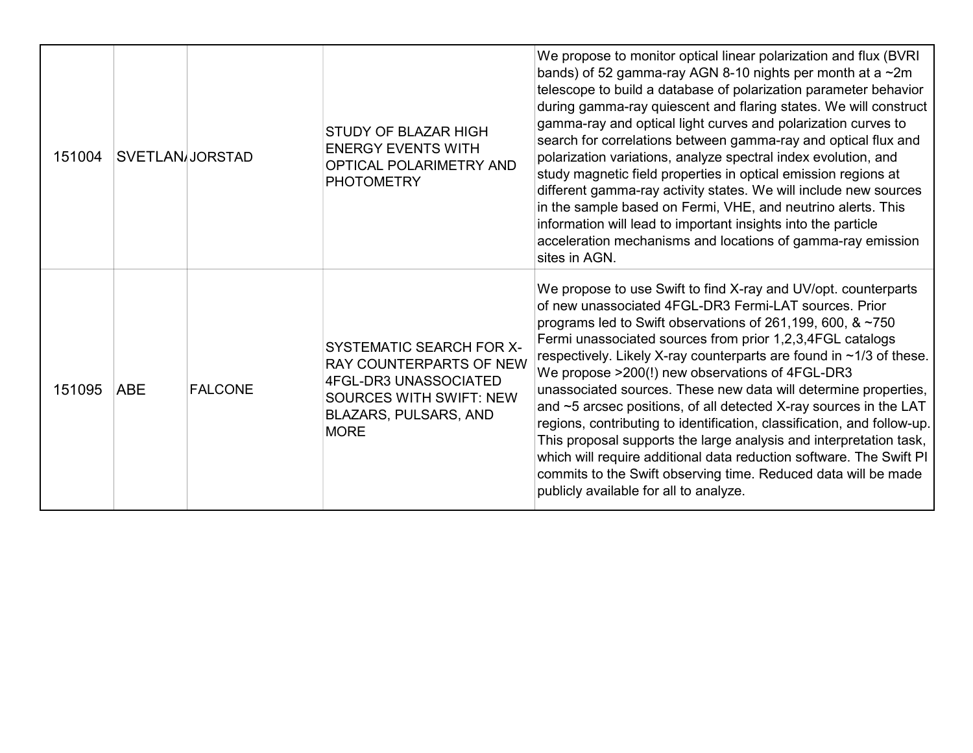| 151004 | <b>SVETLAN/JORSTAD</b> |                | STUDY OF BLAZAR HIGH<br><b>ENERGY EVENTS WITH</b><br>OPTICAL POLARIMETRY AND<br><b>PHOTOMETRY</b>                                                             | We propose to monitor optical linear polarization and flux (BVRI)<br>bands) of 52 gamma-ray AGN 8-10 nights per month at a ~2m<br>telescope to build a database of polarization parameter behavior<br>during gamma-ray quiescent and flaring states. We will construct<br>gamma-ray and optical light curves and polarization curves to<br>search for correlations between gamma-ray and optical flux and<br>polarization variations, analyze spectral index evolution, and<br>study magnetic field properties in optical emission regions at<br>different gamma-ray activity states. We will include new sources<br>in the sample based on Fermi, VHE, and neutrino alerts. This<br>information will lead to important insights into the particle<br>acceleration mechanisms and locations of gamma-ray emission<br>sites in AGN.                       |
|--------|------------------------|----------------|---------------------------------------------------------------------------------------------------------------------------------------------------------------|----------------------------------------------------------------------------------------------------------------------------------------------------------------------------------------------------------------------------------------------------------------------------------------------------------------------------------------------------------------------------------------------------------------------------------------------------------------------------------------------------------------------------------------------------------------------------------------------------------------------------------------------------------------------------------------------------------------------------------------------------------------------------------------------------------------------------------------------------------|
| 151095 | <b>ABE</b>             | <b>FALCONE</b> | SYSTEMATIC SEARCH FOR X-<br>RAY COUNTERPARTS OF NEW<br><b>4FGL-DR3 UNASSOCIATED</b><br><b>SOURCES WITH SWIFT: NEW</b><br>BLAZARS, PULSARS, AND<br><b>MORE</b> | We propose to use Swift to find X-ray and UV/opt. counterparts<br>of new unassociated 4FGL-DR3 Fermi-LAT sources. Prior<br>programs led to Swift observations of 261,199, 600, & ~750<br>Fermi unassociated sources from prior 1,2,3,4FGL catalogs<br>respectively. Likely X-ray counterparts are found in ~1/3 of these.<br>We propose >200(!) new observations of 4FGL-DR3<br>unassociated sources. These new data will determine properties,<br>and ~5 arcsec positions, of all detected X-ray sources in the LAT<br>regions, contributing to identification, classification, and follow-up.<br>This proposal supports the large analysis and interpretation task,<br>which will require additional data reduction software. The Swift PI<br>commits to the Swift observing time. Reduced data will be made<br>publicly available for all to analyze. |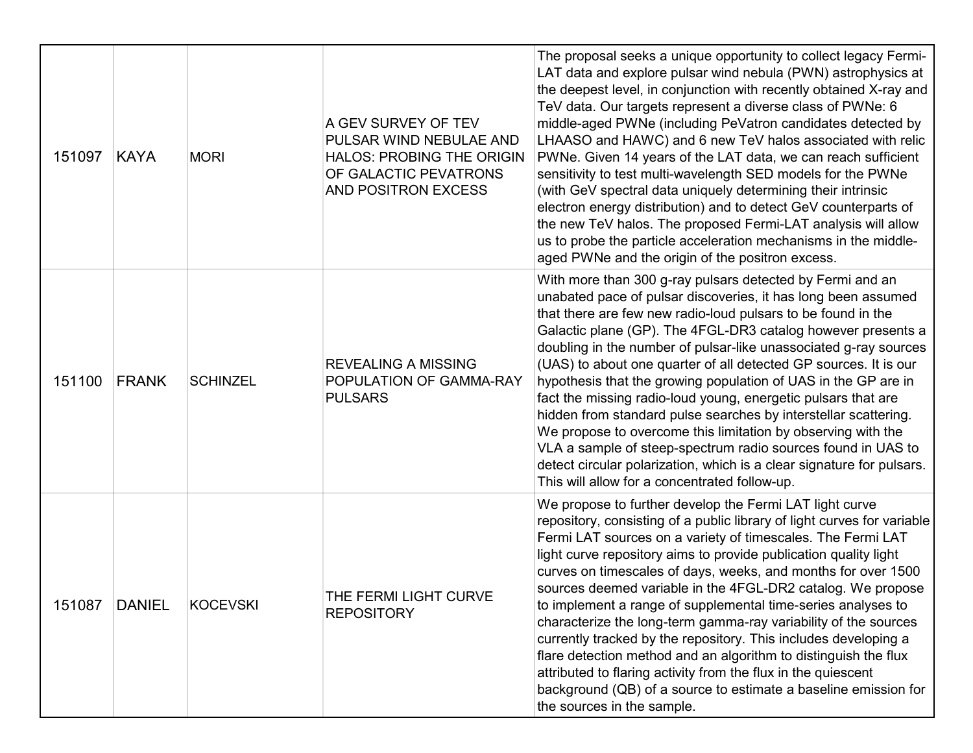| 151097 | KAYA          | <b>MORI</b>     | A GEV SURVEY OF TEV<br>PULSAR WIND NEBULAE AND<br><b>HALOS: PROBING THE ORIGIN</b><br>OF GALACTIC PEVATRONS<br>AND POSITRON EXCESS | The proposal seeks a unique opportunity to collect legacy Fermi-<br>LAT data and explore pulsar wind nebula (PWN) astrophysics at<br>the deepest level, in conjunction with recently obtained X-ray and<br>TeV data. Our targets represent a diverse class of PWNe: 6<br>middle-aged PWNe (including PeVatron candidates detected by<br>LHAASO and HAWC) and 6 new TeV halos associated with relic<br>PWNe. Given 14 years of the LAT data, we can reach sufficient<br>sensitivity to test multi-wavelength SED models for the PWNe<br>(with GeV spectral data uniquely determining their intrinsic<br>electron energy distribution) and to detect GeV counterparts of<br>the new TeV halos. The proposed Fermi-LAT analysis will allow<br>us to probe the particle acceleration mechanisms in the middle-<br>aged PWNe and the origin of the positron excess.     |
|--------|---------------|-----------------|------------------------------------------------------------------------------------------------------------------------------------|--------------------------------------------------------------------------------------------------------------------------------------------------------------------------------------------------------------------------------------------------------------------------------------------------------------------------------------------------------------------------------------------------------------------------------------------------------------------------------------------------------------------------------------------------------------------------------------------------------------------------------------------------------------------------------------------------------------------------------------------------------------------------------------------------------------------------------------------------------------------|
| 151100 | FRANK         | <b>SCHINZEL</b> | <b>REVEALING A MISSING</b><br>POPULATION OF GAMMA-RAY<br><b>PULSARS</b>                                                            | With more than 300 g-ray pulsars detected by Fermi and an<br>unabated pace of pulsar discoveries, it has long been assumed<br>that there are few new radio-loud pulsars to be found in the<br>Galactic plane (GP). The 4FGL-DR3 catalog however presents a<br>doubling in the number of pulsar-like unassociated g-ray sources<br>(UAS) to about one quarter of all detected GP sources. It is our<br>hypothesis that the growing population of UAS in the GP are in<br>fact the missing radio-loud young, energetic pulsars that are<br>hidden from standard pulse searches by interstellar scattering.<br>We propose to overcome this limitation by observing with the<br>VLA a sample of steep-spectrum radio sources found in UAS to<br>detect circular polarization, which is a clear signature for pulsars.<br>This will allow for a concentrated follow-up. |
| 151087 | <b>DANIEL</b> | <b>KOCEVSKI</b> | THE FERMI LIGHT CURVE<br><b>REPOSITORY</b>                                                                                         | We propose to further develop the Fermi LAT light curve<br>repository, consisting of a public library of light curves for variable<br>Fermi LAT sources on a variety of timescales. The Fermi LAT<br>light curve repository aims to provide publication quality light<br>curves on timescales of days, weeks, and months for over 1500<br>sources deemed variable in the 4FGL-DR2 catalog. We propose<br>to implement a range of supplemental time-series analyses to<br>characterize the long-term gamma-ray variability of the sources<br>currently tracked by the repository. This includes developing a<br>flare detection method and an algorithm to distinguish the flux<br>attributed to flaring activity from the flux in the quiescent<br>background (QB) of a source to estimate a baseline emission for<br>the sources in the sample.                   |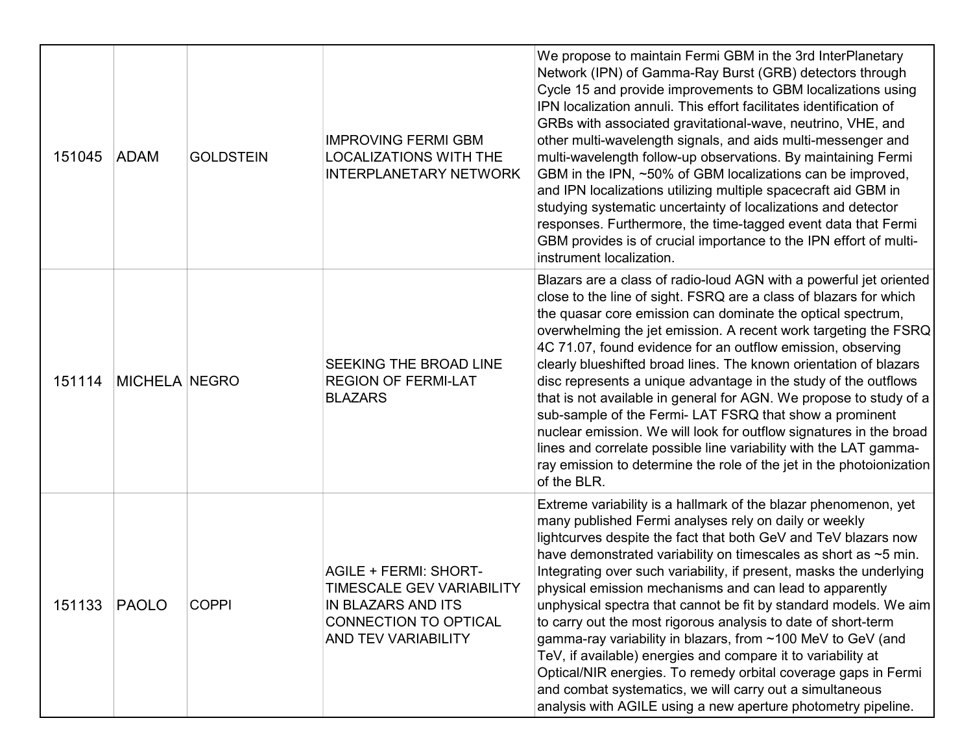| 151045 | <b>ADAM</b>          | <b>GOLDSTEIN</b> | <b>IMPROVING FERMI GBM</b><br><b>LOCALIZATIONS WITH THE</b><br><b>INTERPLANETARY NETWORK</b>                                                  | We propose to maintain Fermi GBM in the 3rd InterPlanetary<br>Network (IPN) of Gamma-Ray Burst (GRB) detectors through<br>Cycle 15 and provide improvements to GBM localizations using<br>IPN localization annuli. This effort facilitates identification of<br>GRBs with associated gravitational-wave, neutrino, VHE, and<br>other multi-wavelength signals, and aids multi-messenger and<br>multi-wavelength follow-up observations. By maintaining Fermi<br>GBM in the IPN, ~50% of GBM localizations can be improved,<br>and IPN localizations utilizing multiple spacecraft aid GBM in<br>studying systematic uncertainty of localizations and detector<br>responses. Furthermore, the time-tagged event data that Fermi<br>GBM provides is of crucial importance to the IPN effort of multi-<br>instrument localization.                                    |
|--------|----------------------|------------------|-----------------------------------------------------------------------------------------------------------------------------------------------|--------------------------------------------------------------------------------------------------------------------------------------------------------------------------------------------------------------------------------------------------------------------------------------------------------------------------------------------------------------------------------------------------------------------------------------------------------------------------------------------------------------------------------------------------------------------------------------------------------------------------------------------------------------------------------------------------------------------------------------------------------------------------------------------------------------------------------------------------------------------|
| 151114 | <b>MICHELA NEGRO</b> |                  | SEEKING THE BROAD LINE<br><b>REGION OF FERMI-LAT</b><br><b>BLAZARS</b>                                                                        | Blazars are a class of radio-loud AGN with a powerful jet oriented<br>close to the line of sight. FSRQ are a class of blazars for which<br>the quasar core emission can dominate the optical spectrum,<br>overwhelming the jet emission. A recent work targeting the FSRQ<br>4C 71.07, found evidence for an outflow emission, observing<br>clearly blueshifted broad lines. The known orientation of blazars<br>disc represents a unique advantage in the study of the outflows<br>that is not available in general for AGN. We propose to study of a<br>sub-sample of the Fermi- LAT FSRQ that show a prominent<br>nuclear emission. We will look for outflow signatures in the broad<br>lines and correlate possible line variability with the LAT gamma-<br>ray emission to determine the role of the jet in the photoionization<br>of the BLR.                |
| 151133 | PAOLO                | <b>COPPI</b>     | <b>AGILE + FERMI: SHORT-</b><br><b>TIMESCALE GEV VARIABILITY</b><br><b>IN BLAZARS AND ITS</b><br>CONNECTION TO OPTICAL<br>AND TEV VARIABILITY | Extreme variability is a hallmark of the blazar phenomenon, yet<br>many published Fermi analyses rely on daily or weekly<br>lightcurves despite the fact that both GeV and TeV blazars now<br>have demonstrated variability on timescales as short as ~5 min.<br>Integrating over such variability, if present, masks the underlying<br>physical emission mechanisms and can lead to apparently<br>unphysical spectra that cannot be fit by standard models. We aim<br>to carry out the most rigorous analysis to date of short-term<br>gamma-ray variability in blazars, from ~100 MeV to GeV (and<br>TeV, if available) energies and compare it to variability at<br>Optical/NIR energies. To remedy orbital coverage gaps in Fermi<br>and combat systematics, we will carry out a simultaneous<br>analysis with AGILE using a new aperture photometry pipeline. |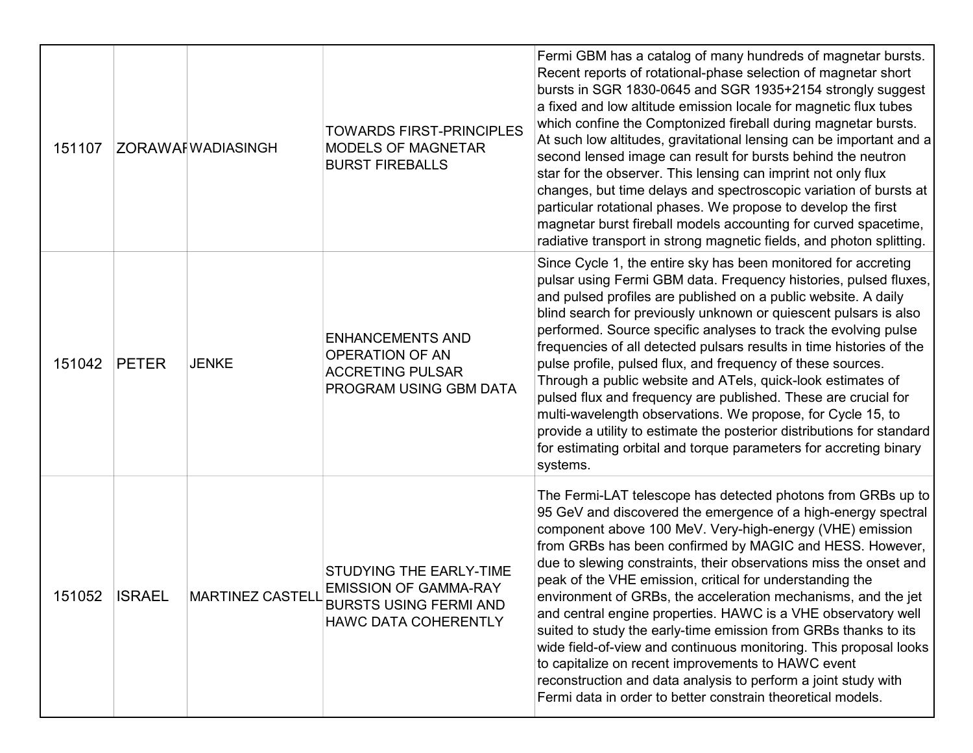| 151107 |               | <b>ZORAWAFWADIASINGH</b> | <b>TOWARDS FIRST-PRINCIPLES</b><br>MODELS OF MAGNETAR<br><b>BURST FIREBALLS</b>                                         | Fermi GBM has a catalog of many hundreds of magnetar bursts.<br>Recent reports of rotational-phase selection of magnetar short<br>bursts in SGR 1830-0645 and SGR 1935+2154 strongly suggest<br>a fixed and low altitude emission locale for magnetic flux tubes<br>which confine the Comptonized fireball during magnetar bursts.<br>At such low altitudes, gravitational lensing can be important and a<br>second lensed image can result for bursts behind the neutron<br>star for the observer. This lensing can imprint not only flux<br>changes, but time delays and spectroscopic variation of bursts at<br>particular rotational phases. We propose to develop the first<br>magnetar burst fireball models accounting for curved spacetime,<br>radiative transport in strong magnetic fields, and photon splitting.                             |
|--------|---------------|--------------------------|-------------------------------------------------------------------------------------------------------------------------|---------------------------------------------------------------------------------------------------------------------------------------------------------------------------------------------------------------------------------------------------------------------------------------------------------------------------------------------------------------------------------------------------------------------------------------------------------------------------------------------------------------------------------------------------------------------------------------------------------------------------------------------------------------------------------------------------------------------------------------------------------------------------------------------------------------------------------------------------------|
| 151042 | <b>PETER</b>  | <b>JENKE</b>             | <b>ENHANCEMENTS AND</b><br>OPERATION OF AN<br><b>ACCRETING PULSAR</b><br>PROGRAM USING GBM DATA                         | Since Cycle 1, the entire sky has been monitored for accreting<br>pulsar using Fermi GBM data. Frequency histories, pulsed fluxes,<br>and pulsed profiles are published on a public website. A daily<br>blind search for previously unknown or quiescent pulsars is also<br>performed. Source specific analyses to track the evolving pulse<br>frequencies of all detected pulsars results in time histories of the<br>pulse profile, pulsed flux, and frequency of these sources.<br>Through a public website and ATels, quick-look estimates of<br>pulsed flux and frequency are published. These are crucial for<br>multi-wavelength observations. We propose, for Cycle 15, to<br>provide a utility to estimate the posterior distributions for standard<br>for estimating orbital and torque parameters for accreting binary<br>systems.           |
| 151052 | <b>ISRAEL</b> | <b>MARTINEZ CASTELL</b>  | STUDYING THE EARLY-TIME<br><b>EMISSION OF GAMMA-RAY</b><br><b>BURSTS USING FERMI AND</b><br><b>HAWC DATA COHERENTLY</b> | The Fermi-LAT telescope has detected photons from GRBs up to<br>95 GeV and discovered the emergence of a high-energy spectral<br>component above 100 MeV. Very-high-energy (VHE) emission<br>from GRBs has been confirmed by MAGIC and HESS. However,<br>due to slewing constraints, their observations miss the onset and<br>peak of the VHE emission, critical for understanding the<br>environment of GRBs, the acceleration mechanisms, and the jet<br>and central engine properties. HAWC is a VHE observatory well<br>suited to study the early-time emission from GRBs thanks to its<br>wide field-of-view and continuous monitoring. This proposal looks<br>to capitalize on recent improvements to HAWC event<br>reconstruction and data analysis to perform a joint study with<br>Fermi data in order to better constrain theoretical models. |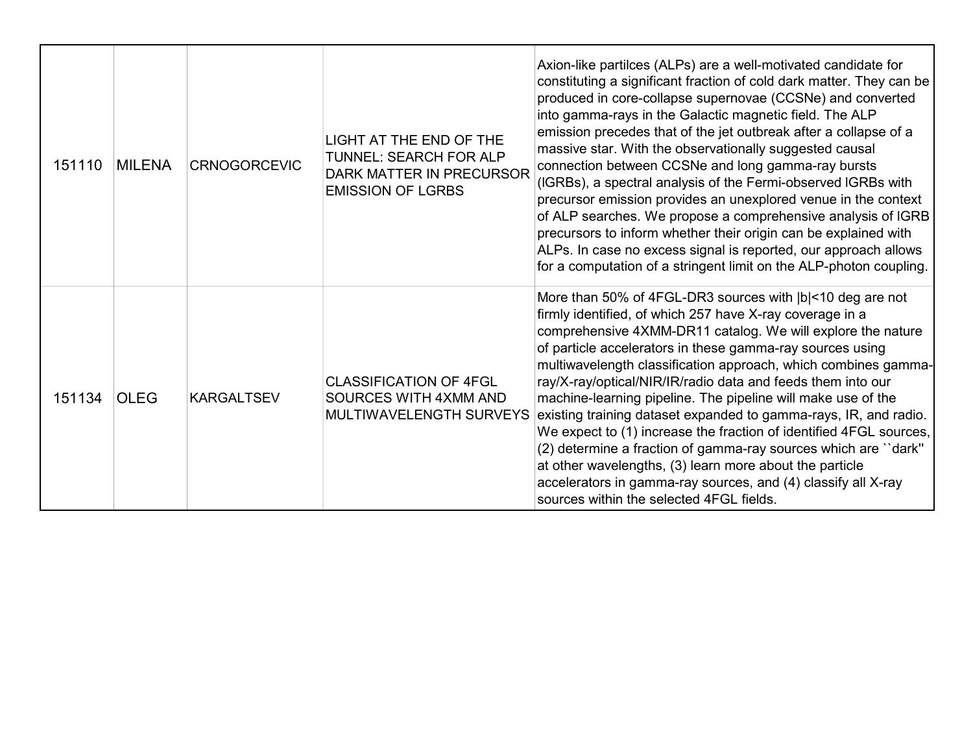| 151110 | <b>MILENA</b> | <b>CRNOGORCEVIC</b> | <b>LIGHT AT THE END OF THE</b><br>TUNNEL: SEARCH FOR ALP<br><b>DARK MATTER IN PRECURSOR</b><br><b>EMISSION OF LGRBS</b> | Axion-like partilces (ALPs) are a well-motivated candidate for<br>constituting a significant fraction of cold dark matter. They can be<br>produced in core-collapse supernovae (CCSNe) and converted<br>into gamma-rays in the Galactic magnetic field. The ALP<br>emission precedes that of the jet outbreak after a collapse of a<br>massive star. With the observationally suggested causal<br>connection between CCSNe and long gamma-ray bursts<br>(IGRBs), a spectral analysis of the Fermi-observed IGRBs with<br>precursor emission provides an unexplored venue in the context<br>of ALP searches. We propose a comprehensive analysis of IGRB<br>precursors to inform whether their origin can be explained with<br>ALPs. In case no excess signal is reported, our approach allows<br>for a computation of a stringent limit on the ALP-photon coupling. |
|--------|---------------|---------------------|-------------------------------------------------------------------------------------------------------------------------|---------------------------------------------------------------------------------------------------------------------------------------------------------------------------------------------------------------------------------------------------------------------------------------------------------------------------------------------------------------------------------------------------------------------------------------------------------------------------------------------------------------------------------------------------------------------------------------------------------------------------------------------------------------------------------------------------------------------------------------------------------------------------------------------------------------------------------------------------------------------|
| 151134 | <b>OLEG</b>   | <b>KARGALTSEV</b>   | <b>CLASSIFICATION OF 4FGL</b><br>SOURCES WITH 4XMM AND<br>MULTIWAVELENGTH SURVEYS                                       | More than 50% of 4FGL-DR3 sources with  b <10 deg are not<br>firmly identified, of which 257 have X-ray coverage in a<br>comprehensive 4XMM-DR11 catalog. We will explore the nature<br>of particle accelerators in these gamma-ray sources using<br>multiwavelength classification approach, which combines gamma-<br>ray/X-ray/optical/NIR/IR/radio data and feeds them into our<br>machine-learning pipeline. The pipeline will make use of the<br>existing training dataset expanded to gamma-rays, IR, and radio.<br>We expect to (1) increase the fraction of identified 4FGL sources,<br>(2) determine a fraction of gamma-ray sources which are "dark"<br>at other wavelengths, (3) learn more about the particle<br>accelerators in gamma-ray sources, and (4) classify all X-ray<br>sources within the selected 4FGL fields.                              |